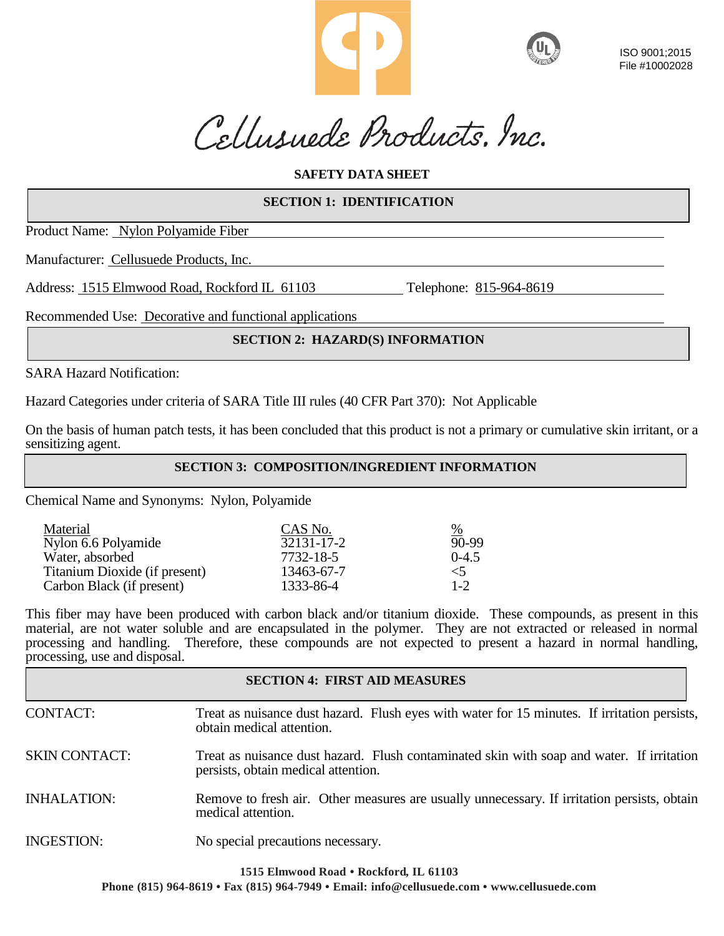

ISO 9001;2015 File #10002028

Cellusuede Products, Inc.

# **SAFETY DATA SHEET**

# **SECTION 1: IDENTIFICATION**

Product Name: Nylon Polyamide Fiber

Manufacturer: Cellusuede Products, Inc.

Address: 1515 Elmwood Road, Rockford IL 61103 Telephone: 815-964-8619

Recommended Use: Decorative and functional applications

# **SECTION 2: HAZARD(S) INFORMATION**

SARA Hazard Notification:

Hazard Categories under criteria of SARA Title III rules (40 CFR Part 370): Not Applicable

On the basis of human patch tests, it has been concluded that this product is not a primary or cumulative skin irritant, or a sensitizing agent.

**SECTION 3: COMPOSITION/INGREDIENT INFORMATION**

Chemical Name and Synonyms: Nylon, Polyamide

| Material                      | CAS No.    | $\frac{9}{6}$ |
|-------------------------------|------------|---------------|
| Nylon 6.6 Polyamide           | 32131-17-2 | 90-99         |
| Water, absorbed               | 7732-18-5  | $0-4.5$       |
| Titanium Dioxide (if present) | 13463-67-7 | $\leq 5$      |
| Carbon Black (if present)     | 1333-86-4  | $1 - 2$       |

This fiber may have been produced with carbon black and/or titanium dioxide. These compounds, as present in this material, are not water soluble and are encapsulated in the polymer. They are not extracted or released in normal processing and handling. Therefore, these compounds are not expected to present a hazard in normal handling, processing, use and disposal.

# **SECTION 4: FIRST AID MEASURES**

- CONTACT: Treat as nuisance dust hazard. Flush eyes with water for 15 minutes. If irritation persists, obtain medical attention.
- SKIN CONTACT: Treat as nuisance dust hazard. Flush contaminated skin with soap and water. If irritation persists, obtain medical attention.
- INHALATION: Remove to fresh air. Other measures are usually unnecessary. If irritation persists, obtain medical attention.
- INGESTION: No special precautions necessary.

**1515 Elmwood Road • Rockford, IL 61103**

**Phone (815) 964-8619 • Fax (815) 964-7949 • Email: [info@cellusuede.com](mailto:info@cellusuede.com) • [www.cellusuede.com](http://www.cellusuede.com/)**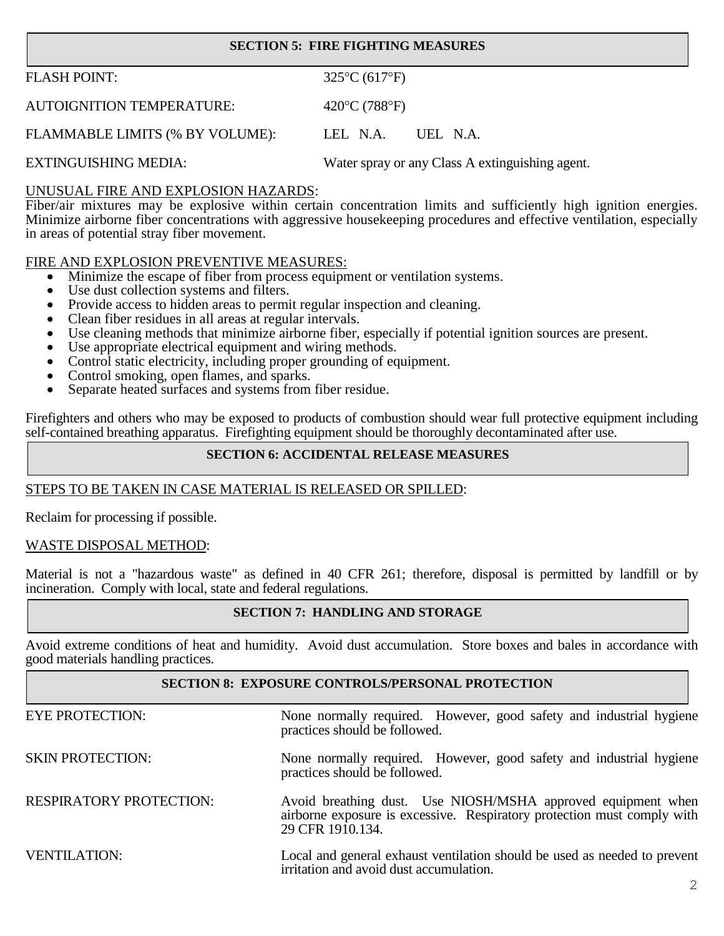# **SECTION 5: FIRE FIGHTING MEASURES**

| <b>FLASH POINT:</b>              | $325^{\circ}C(617^{\circ}F)$                    |
|----------------------------------|-------------------------------------------------|
| <b>AUTOIGNITION TEMPERATURE:</b> | 420 $\rm ^{\circ}C$ (788 $\rm ^{\circ}F$ )      |
| FLAMMABLE LIMITS (% BY VOLUME):  | LEL N.A.<br>UEL N.A.                            |
| <b>EXTINGUISHING MEDIA:</b>      | Water spray or any Class A extinguishing agent. |

## UNUSUAL FIRE AND EXPLOSION HAZARDS:

Fiber/air mixtures may be explosive within certain concentration limits and sufficiently high ignition energies. Minimize airborne fiber concentrations with aggressive housekeeping procedures and effective ventilation, especially in areas of potential stray fiber movement.

## FIRE AND EXPLOSION PREVENTIVE MEASURES:

- Minimize the escape of fiber from process equipment or ventilation systems.
- Use dust collection systems and filters.
- Provide access to hidden areas to permit regular inspection and cleaning.
- Clean fiber residues in all areas at regular intervals.
- Use cleaning methods that minimize airborne fiber, especially if potential ignition sources are present.
- Use appropriate electrical equipment and wiring methods.
- Control static electricity, including proper grounding of equipment.
- Control smoking, open flames, and sparks.
- Separate heated surfaces and systems from fiber residue.

Firefighters and others who may be exposed to products of combustion should wear full protective equipment including self-contained breathing apparatus. Firefighting equipment should be thoroughly decontaminated after use.

## **SECTION 6: ACCIDENTAL RELEASE MEASURES**

# STEPS TO BE TAKEN IN CASE MATERIAL IS RELEASED OR SPILLED:

Reclaim for processing if possible.

#### WASTE DISPOSAL METHOD:

Material is not a "hazardous waste" as defined in 40 CFR 261; therefore, disposal is permitted by landfill or by incineration. Comply with local, state and federal regulations.

#### **SECTION 7: HANDLING AND STORAGE**

Avoid extreme conditions of heat and humidity. Avoid dust accumulation. Store boxes and bales in accordance with good materials handling practices.

#### **SECTION 8: EXPOSURE CONTROLS/PERSONAL PROTECTION**

| <b>EYE PROTECTION:</b>         | None normally required. However, good safety and industrial hygiene<br>practices should be followed.                                                        |
|--------------------------------|-------------------------------------------------------------------------------------------------------------------------------------------------------------|
| <b>SKIN PROTECTION:</b>        | None normally required. However, good safety and industrial hygiene<br>practices should be followed.                                                        |
| <b>RESPIRATORY PROTECTION:</b> | Avoid breathing dust. Use NIOSH/MSHA approved equipment when<br>airborne exposure is excessive. Respiratory protection must comply with<br>29 CFR 1910.134. |
| <b>VENTILATION:</b>            | Local and general exhaust ventilation should be used as needed to prevent<br>irritation and avoid dust accumulation.                                        |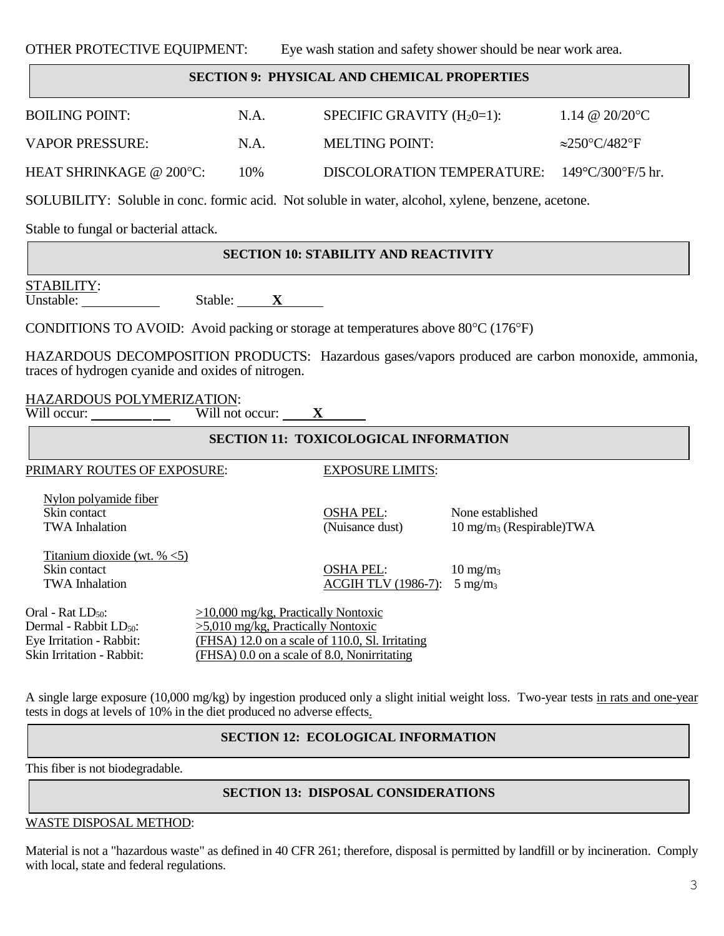OTHER PROTECTIVE EQUIPMENT: Eye wash station and safety shower should be near work area.

## **SECTION 9: PHYSICAL AND CHEMICAL PROPERTIES**

| <b>BOILING POINT:</b>             | N.A. | SPECIFIC GRAVITY $(H_20=1)$ :                                     | 1.14 @ 20/20 °C       |
|-----------------------------------|------|-------------------------------------------------------------------|-----------------------|
| VAPOR PRESSURE:                   | N.A. | MELTING POINT:                                                    | $\approx$ 250°C/482°F |
| HEAT SHRINKAGE @ $200^{\circ}$ C: | 10%  | DISCOLORATION TEMPERATURE: $149^{\circ}$ C/300 $^{\circ}$ F/5 hr. |                       |

SOLUBILITY: Soluble in conc. formic acid. Not soluble in water, alcohol, xylene, benzene, acetone.

Stable to fungal or bacterial attack.

## **SECTION 10: STABILITY AND REACTIVITY**

STABILITY:

Unstable: Stable: **X**

CONDITIONS TO AVOID: Avoid packing or storage at temperatures above 80°C (176°F)

HAZARDOUS DECOMPOSITION PRODUCTS: Hazardous gases/vapors produced are carbon monoxide, ammonia, traces of hydrogen cyanide and oxides of nitrogen.

HAZARDOUS POLYMERIZATION: Will occur: <u>\_\_\_\_\_\_\_\_</u>\_\_\_\_

| <b>SECTION 11: TOXICOLOGICAL INFORMATION</b>                                                                                 |                                                                                                                                                                                 |                                                |                                                          |  |
|------------------------------------------------------------------------------------------------------------------------------|---------------------------------------------------------------------------------------------------------------------------------------------------------------------------------|------------------------------------------------|----------------------------------------------------------|--|
| PRIMARY ROUTES OF EXPOSURE:                                                                                                  |                                                                                                                                                                                 | <b>EXPOSURE LIMITS:</b>                        |                                                          |  |
| Nylon polyamide fiber<br>Skin contact<br><b>TWA</b> Inhalation                                                               |                                                                                                                                                                                 | <b>OSHA PEL:</b><br>(Nuisance dust)            | None established<br>$10 \text{ mg/m}_3$ (Respirable) TWA |  |
| Titanium dioxide (wt. $% < 5$ )<br>Skin contact<br><b>TWA Inhalation</b>                                                     |                                                                                                                                                                                 | <b>OSHA PEL:</b><br><b>ACGIH TLV (1986-7):</b> | $10 \text{ mg/m}_3$<br>$5 \text{ mg/m}_3$                |  |
| Oral - Rat LD <sub>50</sub> :<br>Dermal - Rabbit LD <sub>50</sub> :<br>Eye Irritation - Rabbit:<br>Skin Irritation - Rabbit: | $>10,000$ mg/kg, Practically Nontoxic<br>$>5,010$ mg/kg, Practically Nontoxic<br>(FHSA) 12.0 on a scale of 110.0, Sl. Irritating<br>(FHSA) 0.0 on a scale of 8.0, Nonirritating |                                                |                                                          |  |

A single large exposure (10,000 mg/kg) by ingestion produced only a slight initial weight loss. Two-year tests in rats and one-year tests in dogs at levels of 10% in the diet produced no adverse effects.

# **SECTION 12: ECOLOGICAL INFORMATION**

This fiber is not biodegradable.

# **SECTION 13: DISPOSAL CONSIDERATIONS**

WASTE DISPOSAL METHOD:

Material is not a "hazardous waste" as defined in 40 CFR 261; therefore, disposal is permitted by landfill or by incineration. Comply with local, state and federal regulations.